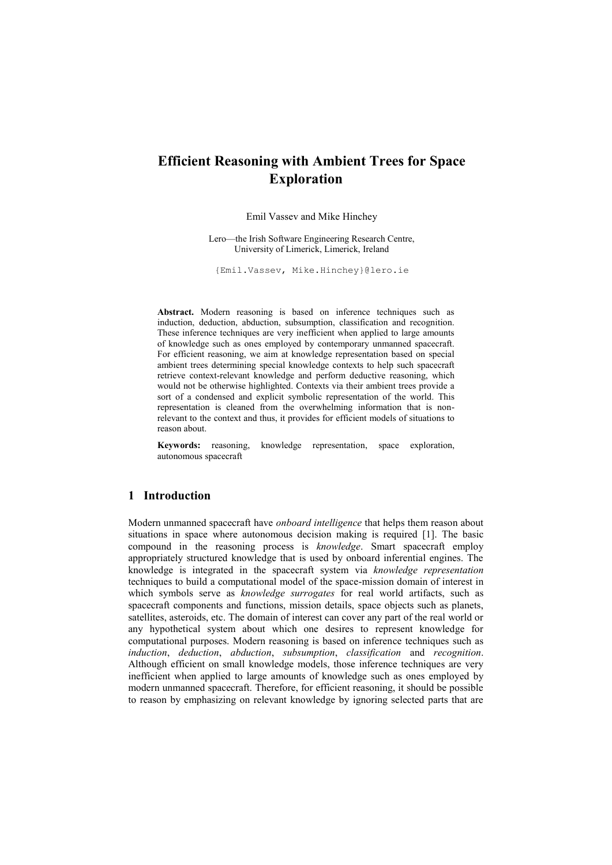# **Efficient Reasoning with Ambient Trees for Space Exploration**

Emil Vassev and Mike Hinchey

Lero—the Irish Software Engineering Research Centre, University of Limerick, Limerick, Ireland

{Emil.Vassev, Mike.Hinchey}@lero.ie

Abstract. Modern reasoning is based on inference techniques such as induction, deduction, abduction, subsumption, classification and recognition. These inference techniques are very inefficient when applied to large amounts of knowledge such as ones employed by contemporary unmanned spacecraft. For efficient reasoning, we aim at knowledge representation based on special ambient trees determining special knowledge contexts to help such spacecraft retrieve context-relevant knowledge and perform deductive reasoning, which would not be otherwise highlighted. Contexts via their ambient trees provide a sort of a condensed and explicit symbolic representation of the world. This representation is cleaned from the overwhelming information that is nonrelevant to the context and thus, it provides for efficient models of situations to reason about.

**Keywords:** reasoning, knowledge representation, space exploration, autonomous spacecraft

# **1 Introduction**

Modern unmanned spacecraft have *onboard intelligence* that helps them reason about situations in space where autonomous decision making is required [1]. The basic compound in the reasoning process is *knowledge*. Smart spacecraft employ appropriately structured knowledge that is used by onboard inferential engines. The knowledge is integrated in the spacecraft system via *knowledge representation* techniques to build a computational model of the space-mission domain of interest in which symbols serve as *knowledge surrogates* for real world artifacts, such as spacecraft components and functions, mission details, space objects such as planets, satellites, asteroids, etc. The domain of interest can cover any part of the real world or any hypothetical system about which one desires to represent knowledge for computational purposes. Modern reasoning is based on inference techniques such as *induction*, *deduction*, *abduction*, *subsumption*, *classification* and *recognition*. Although efficient on small knowledge models, those inference techniques are very inefficient when applied to large amounts of knowledge such as ones employed by modern unmanned spacecraft. Therefore, for efficient reasoning, it should be possible to reason by emphasizing on relevant knowledge by ignoring selected parts that are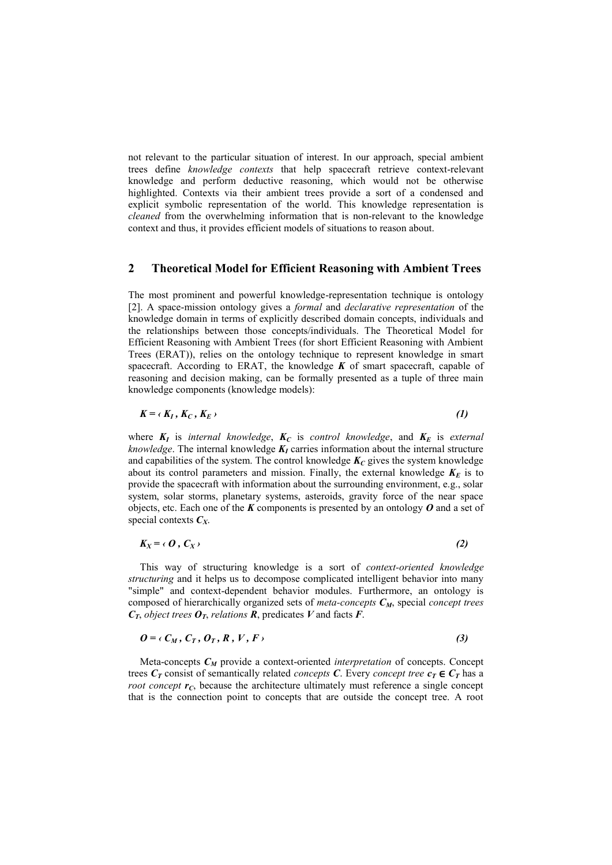not relevant to the particular situation of interest. In our approach, special ambient trees define *knowledge contexts* that help spacecraft retrieve context-relevant knowledge and perform deductive reasoning, which would not be otherwise highlighted. Contexts via their ambient trees provide a sort of a condensed and explicit symbolic representation of the world. This knowledge representation is *cleaned* from the overwhelming information that is non-relevant to the knowledge context and thus, it provides efficient models of situations to reason about.

# **2 Theoretical Model for Efficient Reasoning with Ambient Trees**

The most prominent and powerful knowledge-representation technique is ontology [2]. A space-mission ontology gives a *formal* and *declarative representation* of the knowledge domain in terms of explicitly described domain concepts, individuals and the relationships between those concepts/individuals. The Theoretical Model for Efficient Reasoning with Ambient Trees (for short Efficient Reasoning with Ambient Trees (ERAT)), relies on the ontology technique to represent knowledge in smart spacecraft. According to ERAT, the knowledge  $K$  of smart spacecraft, capable of reasoning and decision making, can be formally presented as a tuple of three main knowledge components (knowledge models):

$$
K = \langle K_I, K_C, K_E \rangle
$$
 (1)

where *K<sup>I</sup>* is *internal knowledge*, *K<sup>C</sup>* is *control knowledge*, and *K<sup>E</sup>* is *external knowledge*. The internal knowledge  $K_I$  carries information about the internal structure and capabilities of the system. The control knowledge  $K_C$  gives the system knowledge about its control parameters and mission. Finally, the external knowledge  $K_E$  is to provide the spacecraft with information about the surrounding environment, e.g., solar system, solar storms, planetary systems, asteroids, gravity force of the near space objects, etc. Each one of the *K* components is presented by an ontology *O* and a set of special contexts *CX*.

$$
K_X = \langle O, C_X \rangle \tag{2}
$$

This way of structuring knowledge is a sort of *context-oriented knowledge structuring* and it helps us to decompose complicated intelligent behavior into many "simple" and context-dependent behavior modules. Furthermore, an ontology is composed of hierarchically organized sets of *meta-concepts CM*, special *concept trees*  $C_T$ , *object trees*  $O_T$ , *relations*  $R$ , predicates  $V$  and facts  $F$ .

$$
O = \langle C_M, C_T, O_T, R, V, F \rangle \tag{3}
$$

Meta-concepts *C<sup>M</sup>* provide a context-oriented *interpretation* of concepts. Concept trees  $C_T$  consist of semantically related *concepts* C. Every *concept tree*  $c_T \in C_T$  has a *root concept*  $r_c$ , because the architecture ultimately must reference a single concept that is the connection point to concepts that are outside the concept tree. A root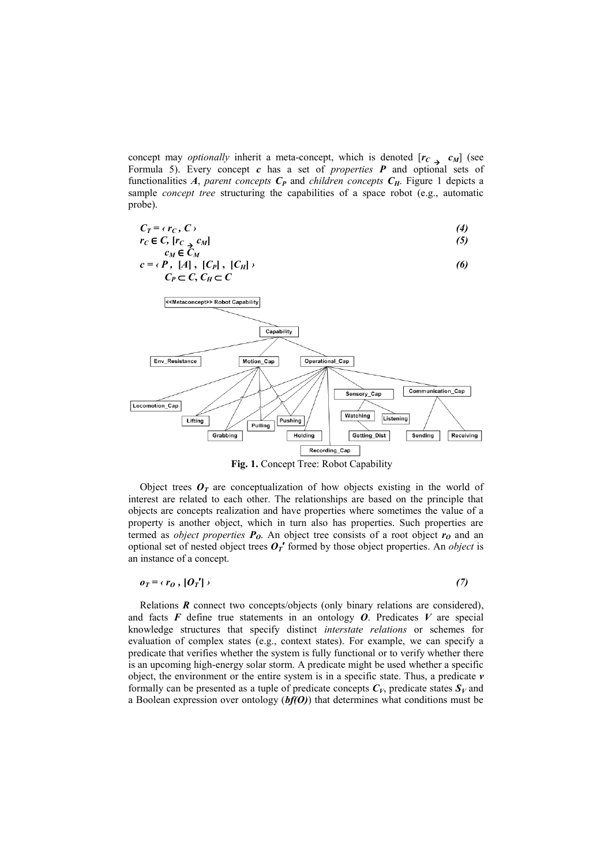concept may *optionally* inherit a meta-concept, which is denoted  $[r_c, r_M]$  (see Formula 5). Every concept *c* has a set of *properties P* and optional sets of functionalities A, parent concepts  $C_P$  and *children concepts*  $C_H$ . Figure 1 depicts a sample *concept tree* structuring the capabilities of a space robot (e.g., automatic probe).

$$
C_T = \langle r_C, C \rangle
$$
  
\n
$$
r_C \in C, [r_C \underset{\Delta}{\rightarrow} c_M]
$$
 (3)

$$
c_M \in \tilde{C}_M
$$
  
\n
$$
c = \langle P, [A], [C_P], [C_H] \rangle
$$
  
\n
$$
C_P \subset C, C_H \subset C
$$
  
\n(6)



**Fig. 1.** Concept Tree: Robot Capability

Object trees  $O_T$  are conceptualization of how objects existing in the world of interest are related to each other. The relationships are based on the principle that objects are concepts realization and have properties where sometimes the value of a property is another object, which in turn also has properties. Such properties are termed as *object properties*  $P_0$ . An object tree consists of a root object  $r_0$  and an optional set of nested object trees  $O_T'$  formed by those object properties. An *object* is an instance of a concept.

$$
o_T = \langle r_0, [O_T] \rangle \tag{7}
$$

Relations *R* connect two concepts/objects (only binary relations are considered), and facts  $F$  define true statements in an ontology  $O$ . Predicates  $V$  are special knowledge structures that specify distinct *interstate relations* or schemes for evaluation of complex states (e.g., context states). For example, we can specify a predicate that verifies whether the system is fully functional or to verify whether there is an upcoming high-energy solar storm. A predicate might be used whether a specific object, the environment or the entire system is in a specific state. Thus, a predicate *v* formally can be presented as a tuple of predicate concepts  $C_V$ , predicate states  $S_V$  and a Boolean expression over ontology (*bf(O)*) that determines what conditions must be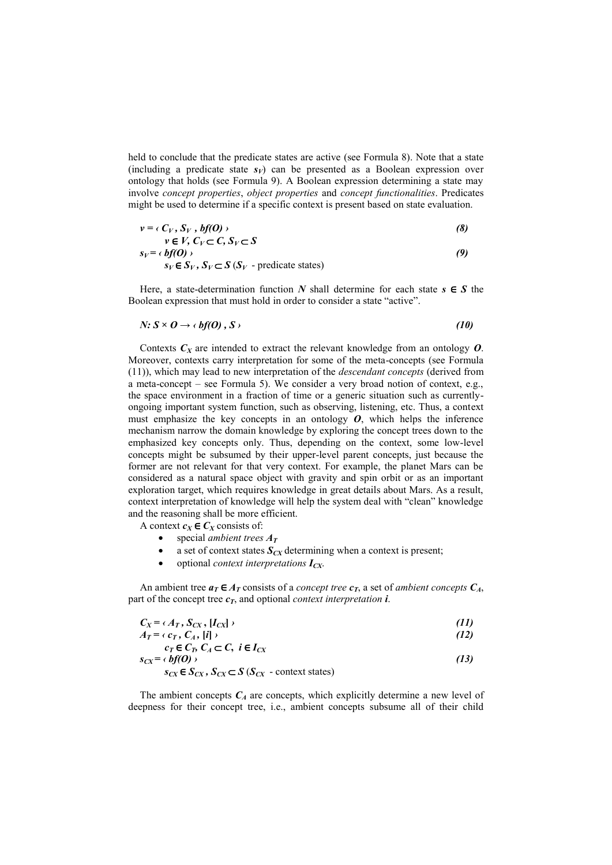held to conclude that the predicate states are active (see Formula 8). Note that a state (including a predicate state  $s_V$ ) can be presented as a Boolean expression over ontology that holds (see Formula 9). A Boolean expression determining a state may involve *concept properties*, *object properties* and *concept functionalities*. Predicates might be used to determine if a specific context is present based on state evaluation.

$$
v = \langle C_V, S_V, bf(0) \rangle
$$
  
\n
$$
v \in V, C_V \subset C, S_V \subset S
$$
  
\n
$$
s_V = \langle bf(0) \rangle
$$
  
\n
$$
s_V \in S_V, S_V \subset S (S_V - \text{predicate states})
$$
  
\n(9)

Here, a state-determination function *N* shall determine for each state  $s \in S$  the Boolean expression that must hold in order to consider a state "active".

$$
N: S \times O \rightarrow \langle bf(O), S \rangle \tag{10}
$$

Contexts  $C_X$  are intended to extract the relevant knowledge from an ontology  $O$ . Moreover, contexts carry interpretation for some of the meta-concepts (see Formula (11)), which may lead to new interpretation of the *descendant concepts* (derived from a meta-concept – see Formula 5). We consider a very broad notion of context, e.g., the space environment in a fraction of time or a generic situation such as currentlyongoing important system function, such as observing, listening, etc. Thus, a context must emphasize the key concepts in an ontology  $O$ , which helps the inference mechanism narrow the domain knowledge by exploring the concept trees down to the emphasized key concepts only. Thus, depending on the context, some low-level concepts might be subsumed by their upper-level parent concepts, just because the former are not relevant for that very context. For example, the planet Mars can be considered as a natural space object with gravity and spin orbit or as an important exploration target, which requires knowledge in great details about Mars. As a result, context interpretation of knowledge will help the system deal with "clean" knowledge and the reasoning shall be more efficient.

A context  $c_X \in C_X$  consists of:

- special *ambient trees A<sup>T</sup>*
- a set of context states  $S_{CX}$  determining when a context is present;
- optional *context interpretations ICX*.

An ambient tree  $a_T \in A_T$  consists of a *concept tree*  $c_T$ , a set of *ambient concepts*  $C_A$ , part of the concept tree  $c_T$ , and optional *context interpretation*  $\mathbf{i}$ .

$$
C_X = \langle A_T, S_{CX}, [I_{CX}] \rangle \tag{11}
$$

$$
A_T = \langle c_T, C_A, [i] \rangle
$$
  
\n
$$
c_T \in C_T, C_A \subset C, i \in I_{CX}
$$
\n(12)

$$
s_{CX} = \langle bf(O) \rangle
$$
  
\n
$$
s_{CX} \in S_{CX}, S_{CX} \subset S (S_{CX} - \text{context states})
$$
 (13)

The ambient concepts  $C_A$  are concepts, which explicitly determine a new level of deepness for their concept tree, i.e., ambient concepts subsume all of their child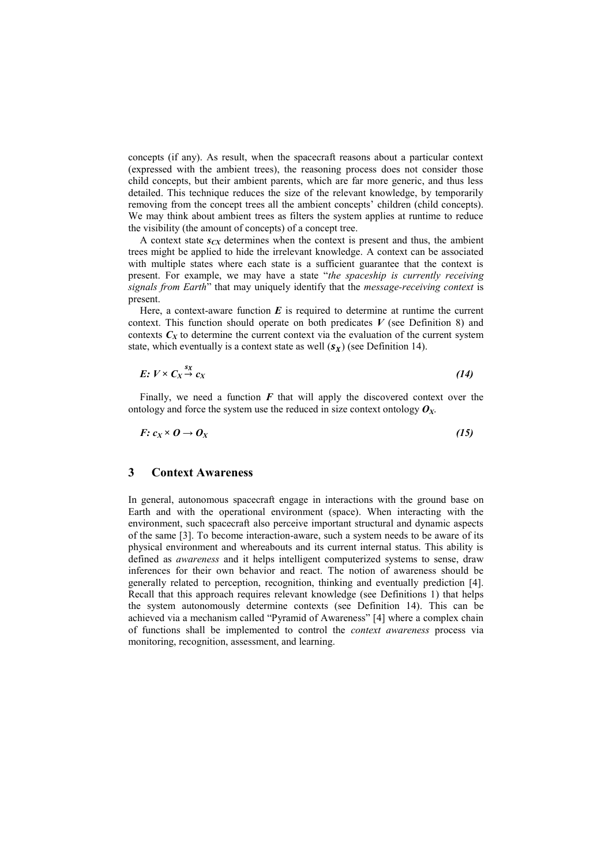concepts (if any). As result, when the spacecraft reasons about a particular context (expressed with the ambient trees), the reasoning process does not consider those child concepts, but their ambient parents, which are far more generic, and thus less detailed. This technique reduces the size of the relevant knowledge, by temporarily removing from the concept trees all the ambient concepts' children (child concepts). We may think about ambient trees as filters the system applies at runtime to reduce the visibility (the amount of concepts) of a concept tree.

A context state  $s_{CX}$  determines when the context is present and thus, the ambient trees might be applied to hide the irrelevant knowledge. A context can be associated with multiple states where each state is a sufficient guarantee that the context is present. For example, we may have a state "*the spaceship is currently receiving signals from Earth*" that may uniquely identify that the *message-receiving context* is present.

Here, a context-aware function  $\vec{E}$  is required to determine at runtime the current context. This function should operate on both predicates  $V$  (see Definition 8) and contexts  $C_X$  to determine the current context via the evaluation of the current system state, which eventually is a context state as well  $(s<sub>x</sub>)$  (see Definition 14).

$$
E: V \times C_X \stackrel{s_X}{\rightarrow} c_X \tag{14}
$$

Finally, we need a function  $F$  that will apply the discovered context over the ontology and force the system use the reduced in size context ontology  $O_X$ .

$$
F: c_X \times O \to O_X \tag{15}
$$

# **3 Context Awareness**

In general, autonomous spacecraft engage in interactions with the ground base on Earth and with the operational environment (space). When interacting with the environment, such spacecraft also perceive important structural and dynamic aspects of the same [3]. To become interaction-aware, such a system needs to be aware of its physical environment and whereabouts and its current internal status. This ability is defined as *awareness* and it helps intelligent computerized systems to sense, draw inferences for their own behavior and react. The notion of awareness should be generally related to perception, recognition, thinking and eventually prediction [4]. Recall that this approach requires relevant knowledge (see Definitions 1) that helps the system autonomously determine contexts (see Definition 14). This can be achieved via a mechanism called "Pyramid of Awareness" [4] where a complex chain of functions shall be implemented to control the *context awareness* process via monitoring, recognition, assessment, and learning.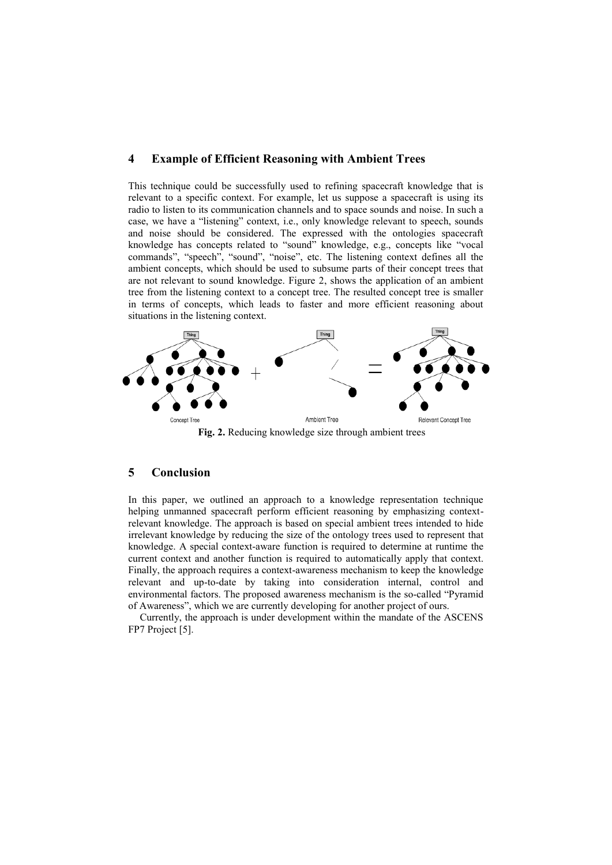#### **4 Example of Efficient Reasoning with Ambient Trees**

This technique could be successfully used to refining spacecraft knowledge that is relevant to a specific context. For example, let us suppose a spacecraft is using its radio to listen to its communication channels and to space sounds and noise. In such a case, we have a "listening" context, i.e., only knowledge relevant to speech, sounds and noise should be considered. The expressed with the ontologies spacecraft knowledge has concepts related to "sound" knowledge, e.g., concepts like "vocal commands", "speech", "sound", "noise", etc. The listening context defines all the ambient concepts, which should be used to subsume parts of their concept trees that are not relevant to sound knowledge. Figure 2, shows the application of an ambient tree from the listening context to a concept tree. The resulted concept tree is smaller in terms of concepts, which leads to faster and more efficient reasoning about situations in the listening context.



**Fig. 2.** Reducing knowledge size through ambient trees

# **5 Conclusion**

In this paper, we outlined an approach to a knowledge representation technique helping unmanned spacecraft perform efficient reasoning by emphasizing contextrelevant knowledge. The approach is based on special ambient trees intended to hide irrelevant knowledge by reducing the size of the ontology trees used to represent that knowledge. A special context-aware function is required to determine at runtime the current context and another function is required to automatically apply that context. Finally, the approach requires a context-awareness mechanism to keep the knowledge relevant and up-to-date by taking into consideration internal, control and environmental factors. The proposed awareness mechanism is the so-called "Pyramid of Awareness", which we are currently developing for another project of ours.

Currently, the approach is under development within the mandate of the ASCENS FP7 Project [5].